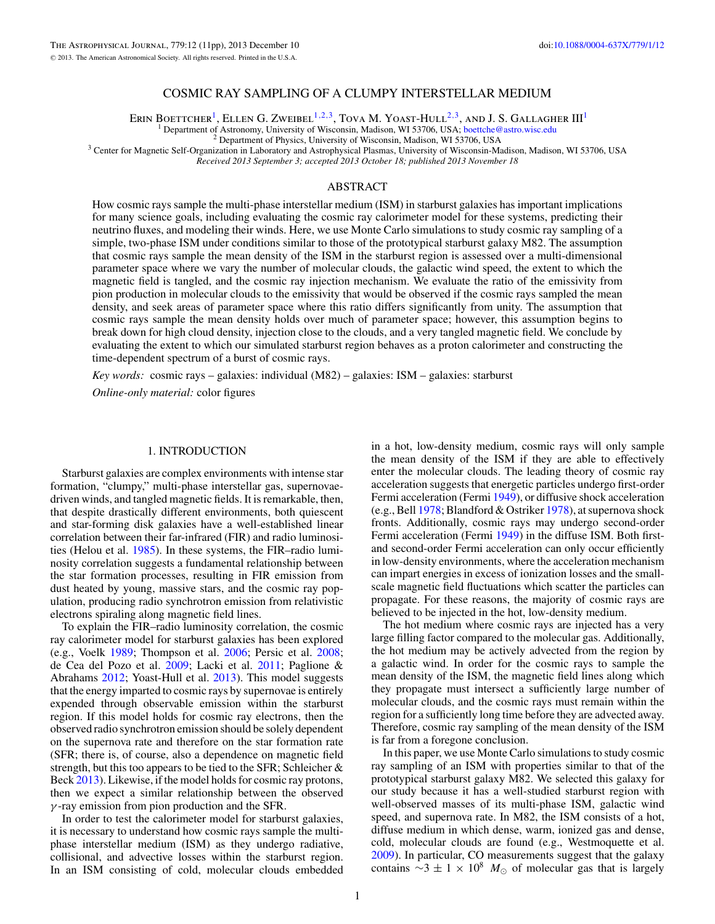# COSMIC RAY SAMPLING OF A CLUMPY INTERSTELLAR MEDIUM

ERIN BOETTCHER<sup>1</sup>, ELLEN G. ZWEIBEL<sup>1,2,3</sup>, TOVA M. YOAST-HULL<sup>2,3</sup>, AND J. S. GALLAGHER III<sup>1</sup><br><sup>1</sup> Department of Astronomy, University of Wisconsin, Madison, WI 53706, USA; boettche@astro.wisc.edu

<sup>2</sup> Department of Physics, University of Wisconsin, Madison, WI 53706, USA<br><sup>3</sup> Center for Magnetic Self-Organization in Laboratory and Astrophysical Plasmas, University of Wisconsin-Madison, Madison, WI 53706, USA *Received 2013 September 3; accepted 2013 October 18; published 2013 November 18*

### ABSTRACT

How cosmic rays sample the multi-phase interstellar medium (ISM) in starburst galaxies has important implications for many science goals, including evaluating the cosmic ray calorimeter model for these systems, predicting their neutrino fluxes, and modeling their winds. Here, we use Monte Carlo simulations to study cosmic ray sampling of a simple, two-phase ISM under conditions similar to those of the prototypical starburst galaxy M82. The assumption that cosmic rays sample the mean density of the ISM in the starburst region is assessed over a multi-dimensional parameter space where we vary the number of molecular clouds, the galactic wind speed, the extent to which the magnetic field is tangled, and the cosmic ray injection mechanism. We evaluate the ratio of the emissivity from pion production in molecular clouds to the emissivity that would be observed if the cosmic rays sampled the mean density, and seek areas of parameter space where this ratio differs significantly from unity. The assumption that cosmic rays sample the mean density holds over much of parameter space; however, this assumption begins to break down for high cloud density, injection close to the clouds, and a very tangled magnetic field. We conclude by evaluating the extent to which our simulated starburst region behaves as a proton calorimeter and constructing the time-dependent spectrum of a burst of cosmic rays.

*Key words:* cosmic rays – galaxies: individual (M82) – galaxies: ISM – galaxies: starburst

*Online-only material:* color figures

# 1. INTRODUCTION

Starburst galaxies are complex environments with intense star formation, "clumpy," multi-phase interstellar gas, supernovaedriven winds, and tangled magnetic fields. It is remarkable, then, that despite drastically different environments, both quiescent and star-forming disk galaxies have a well-established linear correlation between their far-infrared (FIR) and radio luminosities (Helou et al. [1985\)](#page-10-0). In these systems, the FIR–radio luminosity correlation suggests a fundamental relationship between the star formation processes, resulting in FIR emission from dust heated by young, massive stars, and the cosmic ray population, producing radio synchrotron emission from relativistic electrons spiraling along magnetic field lines.

To explain the FIR–radio luminosity correlation, the cosmic ray calorimeter model for starburst galaxies has been explored (e.g., Voelk [1989;](#page-10-0) Thompson et al. [2006;](#page-10-0) Persic et al. [2008;](#page-10-0) de Cea del Pozo et al. [2009;](#page-10-0) Lacki et al. [2011;](#page-10-0) Paglione & Abrahams [2012;](#page-10-0) Yoast-Hull et al. [2013\)](#page-10-0). This model suggests that the energy imparted to cosmic rays by supernovae is entirely expended through observable emission within the starburst region. If this model holds for cosmic ray electrons, then the observed radio synchrotron emission should be solely dependent on the supernova rate and therefore on the star formation rate (SFR; there is, of course, also a dependence on magnetic field strength, but this too appears to be tied to the SFR; Schleicher & Beck [2013\)](#page-10-0). Likewise, if the model holds for cosmic ray protons, then we expect a similar relationship between the observed  $\gamma$ -ray emission from pion production and the SFR.

In order to test the calorimeter model for starburst galaxies, it is necessary to understand how cosmic rays sample the multiphase interstellar medium (ISM) as they undergo radiative, collisional, and advective losses within the starburst region. In an ISM consisting of cold, molecular clouds embedded

in a hot, low-density medium, cosmic rays will only sample the mean density of the ISM if they are able to effectively enter the molecular clouds. The leading theory of cosmic ray acceleration suggests that energetic particles undergo first-order Fermi acceleration (Fermi [1949\)](#page-10-0), or diffusive shock acceleration (e.g., Bell [1978;](#page-10-0) Blandford & Ostriker [1978\)](#page-10-0), at supernova shock fronts. Additionally, cosmic rays may undergo second-order Fermi acceleration (Fermi [1949\)](#page-10-0) in the diffuse ISM. Both firstand second-order Fermi acceleration can only occur efficiently in low-density environments, where the acceleration mechanism can impart energies in excess of ionization losses and the smallscale magnetic field fluctuations which scatter the particles can propagate. For these reasons, the majority of cosmic rays are believed to be injected in the hot, low-density medium.

The hot medium where cosmic rays are injected has a very large filling factor compared to the molecular gas. Additionally, the hot medium may be actively advected from the region by a galactic wind. In order for the cosmic rays to sample the mean density of the ISM, the magnetic field lines along which they propagate must intersect a sufficiently large number of molecular clouds, and the cosmic rays must remain within the region for a sufficiently long time before they are advected away. Therefore, cosmic ray sampling of the mean density of the ISM is far from a foregone conclusion.

In this paper, we use Monte Carlo simulations to study cosmic ray sampling of an ISM with properties similar to that of the prototypical starburst galaxy M82. We selected this galaxy for our study because it has a well-studied starburst region with well-observed masses of its multi-phase ISM, galactic wind speed, and supernova rate. In M82, the ISM consists of a hot, diffuse medium in which dense, warm, ionized gas and dense, cold, molecular clouds are found (e.g., Westmoquette et al. [2009\)](#page-10-0). In particular, CO measurements suggest that the galaxy contains  $\sim$ 3 ± 1 × 10<sup>8</sup>  $M_{\odot}$  of molecular gas that is largely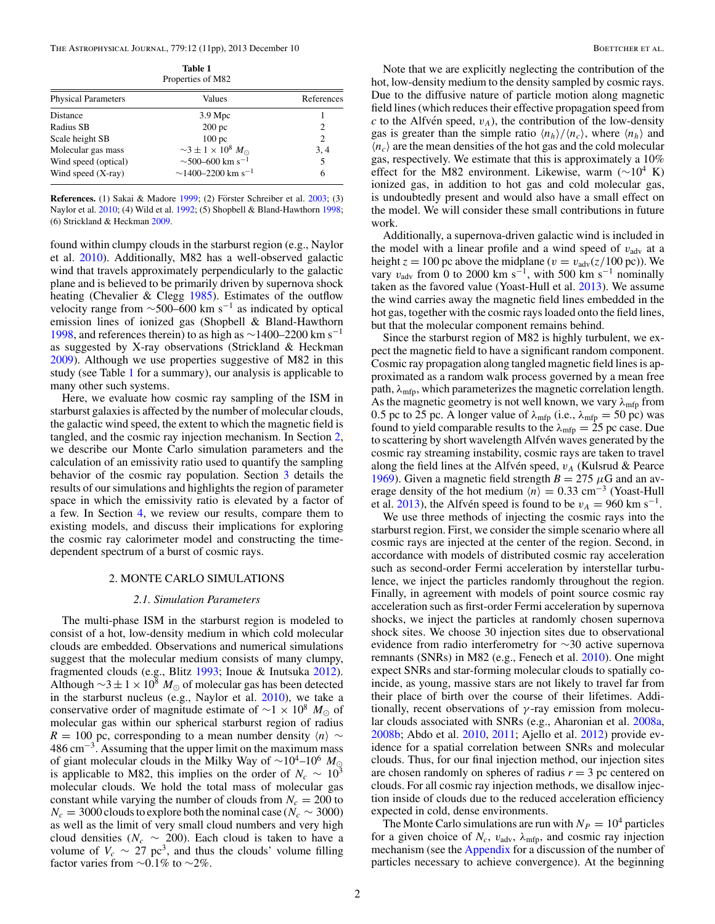<span id="page-1-0"></span>The Astrophysical Journal, 779:12 (11pp), 2013 December 10 Boettcher et al.

| Table 1           |
|-------------------|
| Properties of M82 |

| <b>Physical Parameters</b> | Values                                     | References     |
|----------------------------|--------------------------------------------|----------------|
| Distance                   | $3.9 \text{ Mpc}$                          |                |
| Radius SB                  | 200 <sub>pc</sub>                          | $\overline{c}$ |
| Scale height SB            | 100 <sub>pc</sub>                          | 2              |
| Molecular gas mass         | $\sim$ 3 ± 1 × 10 <sup>8</sup> $M_{\odot}$ | 3.4            |
| Wind speed (optical)       | $\sim$ 500–600 km s <sup>-1</sup>          | 5              |
| Wind speed $(X-ray)$       | $\sim$ 1400–2200 km s <sup>-1</sup>        | 6              |

**References.** (1) Sakai & Madore [1999;](#page-10-0) (2) Förster Schreiber et al. [2003;](#page-10-0) (3) Naylor et al. [2010;](#page-10-0) (4) Wild et al. [1992;](#page-10-0) (5) Shopbell & Bland-Hawthorn [1998;](#page-10-0) (6) Strickland & Heckman [2009.](#page-10-0)

found within clumpy clouds in the starburst region (e.g., Naylor et al. [2010\)](#page-10-0). Additionally, M82 has a well-observed galactic wind that travels approximately perpendicularly to the galactic plane and is believed to be primarily driven by supernova shock heating (Chevalier & Clegg [1985\)](#page-10-0). Estimates of the outflow velocity range from  $\sim$ 500–600 km s<sup>-1</sup> as indicated by optical emission lines of ionized gas (Shopbell & Bland-Hawthorn [1998,](#page-10-0) and references therein) to as high as  $\sim$ 1400–2200 km s<sup>-1</sup> as suggested by X-ray observations (Strickland & Heckman [2009\)](#page-10-0). Although we use properties suggestive of M82 in this study (see Table 1 for a summary), our analysis is applicable to many other such systems.

Here, we evaluate how cosmic ray sampling of the ISM in starburst galaxies is affected by the number of molecular clouds, the galactic wind speed, the extent to which the magnetic field is tangled, and the cosmic ray injection mechanism. In Section 2, we describe our Monte Carlo simulation parameters and the calculation of an emissivity ratio used to quantify the sampling behavior of the cosmic ray population. Section [3](#page-3-0) details the results of our simulations and highlights the region of parameter space in which the emissivity ratio is elevated by a factor of a few. In Section [4,](#page-5-0) we review our results, compare them to existing models, and discuss their implications for exploring the cosmic ray calorimeter model and constructing the timedependent spectrum of a burst of cosmic rays.

### 2. MONTE CARLO SIMULATIONS

#### *2.1. Simulation Parameters*

The multi-phase ISM in the starburst region is modeled to consist of a hot, low-density medium in which cold molecular clouds are embedded. Observations and numerical simulations suggest that the molecular medium consists of many clumpy, fragmented clouds (e.g., Blitz [1993;](#page-10-0) Inoue & Inutsuka [2012\)](#page-10-0). Although  $\sim$ 3 ± 1 × 10<sup>8</sup>  $M_{\odot}$  of molecular gas has been detected in the starburst nucleus (e.g., Naylor et al. [2010\)](#page-10-0), we take a conservative order of magnitude estimate of  $\sim$ 1 × 10<sup>8</sup> M<sub>☉</sub> of molecular gas within our spherical starburst region of radius  $R = 100$  pc, corresponding to a mean number density  $\langle n \rangle \sim$ 486 cm−3. Assuming that the upper limit on the maximum mass of giant molecular clouds in the Milky Way of  $\sim 10^4$ – $10^6$  M<sub>☉</sub> is applicable to M82, this implies on the order of  $N_c \sim 10^3$ molecular clouds. We hold the total mass of molecular gas constant while varying the number of clouds from  $N_c = 200$  to  $N_c = 3000$  clouds to explore both the nominal case ( $N_c \sim 3000$ ) as well as the limit of very small cloud numbers and very high cloud densities ( $N_c \sim 200$ ). Each cloud is taken to have a volume of  $V_c \sim 27 \text{ pc}^3$ , and thus the clouds' volume filling factor varies from ∼0.1% to ~2%.

Note that we are explicitly neglecting the contribution of the hot, low-density medium to the density sampled by cosmic rays. Due to the diffusive nature of particle motion along magnetic field lines (which reduces their effective propagation speed from  $c$  to the Alfvén speed,  $v_A$ ), the contribution of the low-density gas is greater than the simple ratio  $\langle n_h \rangle / \langle n_c \rangle$ , where  $\langle n_h \rangle$  and  $\langle n_c \rangle$  are the mean densities of the hot gas and the cold molecular gas, respectively. We estimate that this is approximately a 10% effect for the M82 environment. Likewise, warm ( $\sim$ 10<sup>4</sup> K) ionized gas, in addition to hot gas and cold molecular gas, is undoubtedly present and would also have a small effect on the model. We will consider these small contributions in future work.

Additionally, a supernova-driven galactic wind is included in the model with a linear profile and a wind speed of  $v_{\text{adv}}$  at a height  $z = 100$  pc above the midplane ( $v = v_{\text{adv}}(z/100 \text{ pc})$ ). We vary  $v_{\text{adv}}$  from 0 to 2000 km s<sup>-1</sup>, with 500 km s<sup>-1</sup> nominally taken as the favored value (Yoast-Hull et al. [2013\)](#page-10-0). We assume the wind carries away the magnetic field lines embedded in the hot gas, together with the cosmic rays loaded onto the field lines, but that the molecular component remains behind.

Since the starburst region of M82 is highly turbulent, we expect the magnetic field to have a significant random component. Cosmic ray propagation along tangled magnetic field lines is approximated as a random walk process governed by a mean free path,  $\lambda_{\text{mfp}}$ , which parameterizes the magnetic correlation length. As the magnetic geometry is not well known, we vary  $\lambda_{\text{mfp}}$  from 0.5 pc to 25 pc. A longer value of  $\lambda_{\text{mfp}}$  (i.e.,  $\lambda_{\text{mfp}} = 50$  pc) was found to yield comparable results to the  $\lambda_{\text{mfp}} = 25$  pc case. Due to scattering by short wavelength Alfvén waves generated by the cosmic ray streaming instability, cosmic rays are taken to travel along the field lines at the Alfvén speed,  $v_A$  (Kulsrud & Pearce [1969\)](#page-10-0). Given a magnetic field strength  $B = 275 \mu$ G and an average density of the hot medium  $\langle n \rangle = 0.33$  cm<sup>-3</sup> (Yoast-Hull et al. [2013\)](#page-10-0), the Alfvén speed is found to be  $v_A = 960$  km s<sup>-1</sup>.

We use three methods of injecting the cosmic rays into the starburst region. First, we consider the simple scenario where all cosmic rays are injected at the center of the region. Second, in accordance with models of distributed cosmic ray acceleration such as second-order Fermi acceleration by interstellar turbulence, we inject the particles randomly throughout the region. Finally, in agreement with models of point source cosmic ray acceleration such as first-order Fermi acceleration by supernova shocks, we inject the particles at randomly chosen supernova shock sites. We choose 30 injection sites due to observational evidence from radio interferometry for ∼30 active supernova remnants (SNRs) in M82 (e.g., Fenech et al. [2010\)](#page-10-0). One might expect SNRs and star-forming molecular clouds to spatially coincide, as young, massive stars are not likely to travel far from their place of birth over the course of their lifetimes. Additionally, recent observations of  $\gamma$ -ray emission from molecular clouds associated with SNRs (e.g., Aharonian et al. [2008a,](#page-10-0) [2008b;](#page-10-0) Abdo et al. [2010,](#page-10-0) [2011;](#page-10-0) Ajello et al. [2012\)](#page-10-0) provide evidence for a spatial correlation between SNRs and molecular clouds. Thus, for our final injection method, our injection sites are chosen randomly on spheres of radius  $r = 3$  pc centered on clouds. For all cosmic ray injection methods, we disallow injection inside of clouds due to the reduced acceleration efficiency expected in cold, dense environments.

The Monte Carlo simulations are run with  $N_P = 10^4$  particles for a given choice of  $N_c$ ,  $v_{\text{adv}}$ ,  $\lambda_{\text{mfp}}$ , and cosmic ray injection mechanism (see the [Appendix](#page-9-0) for a discussion of the number of particles necessary to achieve convergence). At the beginning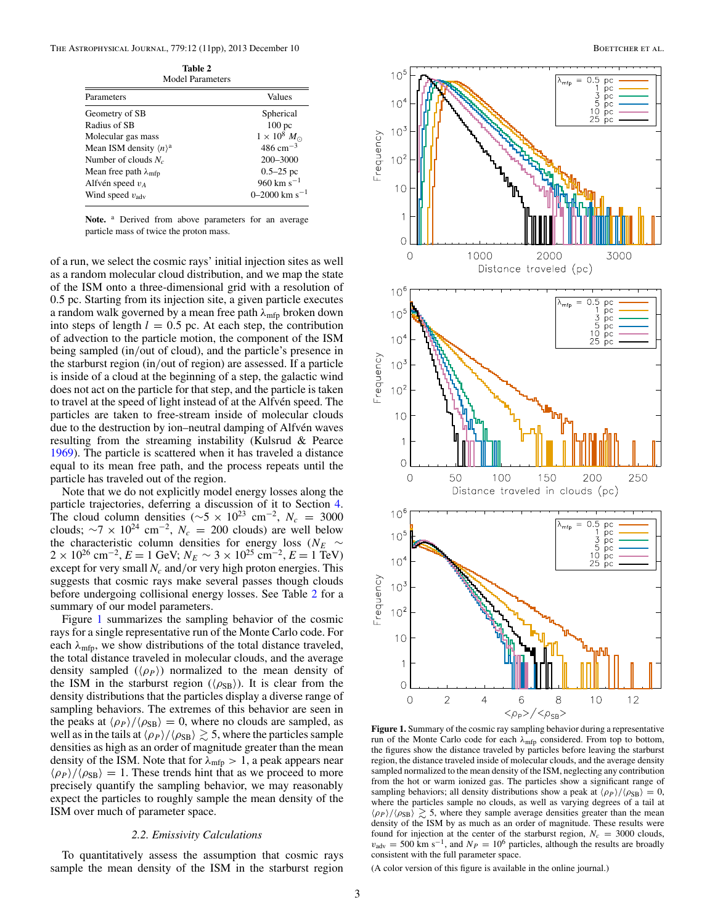<span id="page-2-0"></span>

| <br>Model Parameters                   |                             |  |
|----------------------------------------|-----------------------------|--|
| Parameters                             | Values                      |  |
| Geometry of SB                         | Spherical                   |  |
| Radius of SB                           | 100 <sub>pc</sub>           |  |
| Molecular gas mass                     | $1 \times 10^8$ $M_{\odot}$ |  |
| Mean ISM density $\langle n \rangle^a$ | $486 \text{ cm}^{-3}$       |  |
| Number of clouds $N_c$                 | 200-3000                    |  |
| Mean free path $\lambda_{\text{mfp}}$  | $0.5 - 25$ pc               |  |
| Alfvén speed $v_A$                     | 960 km s <sup>-1</sup>      |  |
| Wind speed $v_{\text{adv}}$            | 0–2000 km s <sup>-1</sup>   |  |

**Table 2**

Note. <sup>a</sup> Derived from above parameters for an average particle mass of twice the proton mass.

of a run, we select the cosmic rays' initial injection sites as well as a random molecular cloud distribution, and we map the state of the ISM onto a three-dimensional grid with a resolution of 0.5 pc. Starting from its injection site, a given particle executes a random walk governed by a mean free path  $\lambda_{\text{mfp}}$  broken down into steps of length  $l = 0.5$  pc. At each step, the contribution of advection to the particle motion, the component of the ISM being sampled (in/out of cloud), and the particle's presence in the starburst region (in/out of region) are assessed. If a particle is inside of a cloud at the beginning of a step, the galactic wind does not act on the particle for that step, and the particle is taken to travel at the speed of light instead of at the Alfvén speed. The particles are taken to free-stream inside of molecular clouds due to the destruction by ion–neutral damping of Alfvén waves resulting from the streaming instability (Kulsrud & Pearce [1969\)](#page-10-0). The particle is scattered when it has traveled a distance equal to its mean free path, and the process repeats until the particle has traveled out of the region.

Note that we do not explicitly model energy losses along the particle trajectories, deferring a discussion of it to Section [4.](#page-5-0) The cloud column densities ( $\sim$ 5 × 10<sup>23</sup> cm<sup>-2</sup>,  $N_c$  = 3000 clouds;  $\sim$ 7 × 10<sup>24</sup> cm<sup>-2</sup>,  $N_c$  = 200 clouds) are well below the characteristic column densities for energy loss ( $N_E \sim$  $2 \times 10^{26}$  cm<sup>-2</sup>,  $E = 1$  GeV;  $N_E \sim 3 \times 10^{25}$  cm<sup>-2</sup>,  $E = 1$  TeV) except for very small  $N_c$  and/or very high proton energies. This suggests that cosmic rays make several passes though clouds before undergoing collisional energy losses. See Table 2 for a summary of our model parameters.

Figure 1 summarizes the sampling behavior of the cosmic rays for a single representative run of the Monte Carlo code. For each  $\lambda_{\text{mfp}}$ , we show distributions of the total distance traveled, the total distance traveled in molecular clouds, and the average density sampled  $(\langle \rho_P \rangle)$  normalized to the mean density of the ISM in the starburst region ( $\langle \rho_{SB} \rangle$ ). It is clear from the density distributions that the particles display a diverse range of sampling behaviors. The extremes of this behavior are seen in the peaks at  $\langle \rho_P \rangle / \langle \rho_{SB} \rangle = 0$ , where no clouds are sampled, as well as in the tails at  $\langle \rho_P \rangle / \langle \rho_{SB} \rangle \gtrsim 5$ , where the particles sample densities as high as an order of magnitude greater than the mean density of the ISM. Note that for  $\lambda_{\text{mfp}} > 1$ , a peak appears near  $\langle \rho_P \rangle / \langle \rho_{SB} \rangle = 1$ . These trends hint that as we proceed to more precisely quantify the sampling behavior, we may reasonably expect the particles to roughly sample the mean density of the ISM over much of parameter space.

# *2.2. Emissivity Calculations*

To quantitatively assess the assumption that cosmic rays sample the mean density of the ISM in the starburst region



**Figure 1.** Summary of the cosmic ray sampling behavior during a representative run of the Monte Carlo code for each  $\lambda_{\text{mfp}}$  considered. From top to bottom, the figures show the distance traveled by particles before leaving the starburst region, the distance traveled inside of molecular clouds, and the average density sampled normalized to the mean density of the ISM, neglecting any contribution from the hot or warm ionized gas. The particles show a significant range of sampling behaviors; all density distributions show a peak at  $\langle \rho_P \rangle / \langle \rho_{SB} \rangle = 0$ , where the particles sample no clouds, as well as varying degrees of a tail at  $\langle \rho_P \rangle / \langle \rho_{SB} \rangle \gtrsim 5$ , where they sample average densities greater than the mean density of the ISM by as much as an order of magnitude. These results were found for injection at the center of the starburst region,  $N_c = 3000$  clouds,  $v_{\text{adv}} = 500 \text{ km s}^{-1}$ , and  $N_p = 10^6$  particles, although the results are broadly consistent with the full parameter space.

(A color version of this figure is available in the online journal.)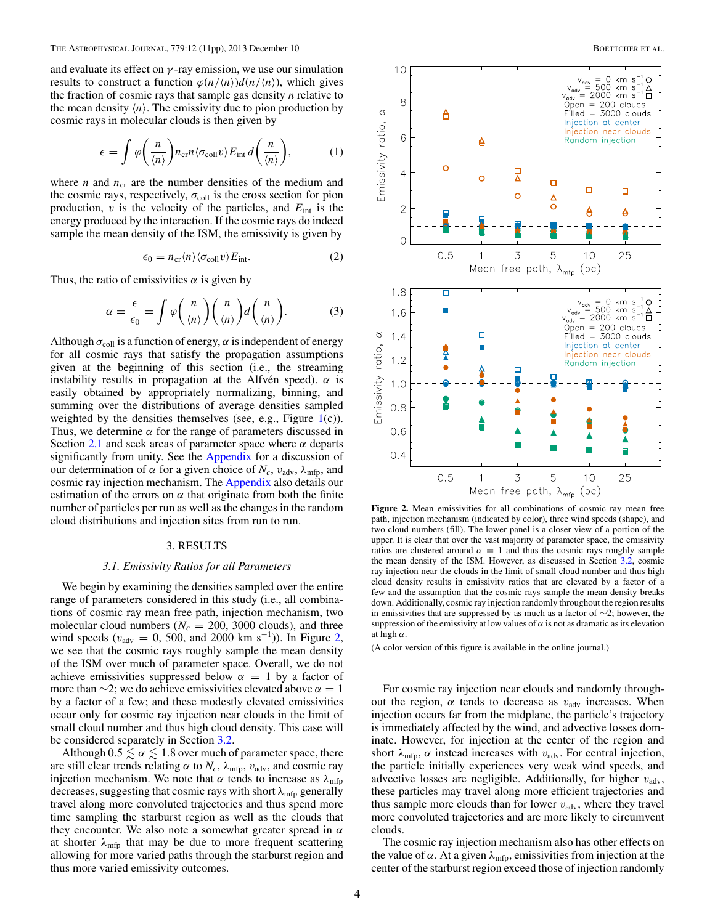<span id="page-3-0"></span>and evaluate its effect on  $\gamma$ -ray emission, we use our simulation results to construct a function  $\varphi(n/\langle n \rangle)d(n/\langle n \rangle)$ , which gives the fraction of cosmic rays that sample gas density *n* relative to the mean density  $\langle n \rangle$ . The emissivity due to pion production by cosmic rays in molecular clouds is then given by

$$
\epsilon = \int \varphi\bigg(\frac{n}{\langle n\rangle}\bigg) n_{\rm cr} n \langle \sigma_{\rm coll} v \rangle E_{\rm int} d\bigg(\frac{n}{\langle n\rangle}\bigg),\tag{1}
$$

where *n* and  $n_{cr}$  are the number densities of the medium and the cosmic rays, respectively,  $\sigma_{\text{coll}}$  is the cross section for pion production,  $v$  is the velocity of the particles, and  $E_{int}$  is the energy produced by the interaction. If the cosmic rays do indeed sample the mean density of the ISM, the emissivity is given by

$$
\epsilon_0 = n_{\rm cr} \langle n \rangle \langle \sigma_{\rm coll} v \rangle E_{\rm int}. \tag{2}
$$

Thus, the ratio of emissivities  $\alpha$  is given by

$$
\alpha = \frac{\epsilon}{\epsilon_0} = \int \varphi\bigg(\frac{n}{\langle n \rangle}\bigg) \bigg(\frac{n}{\langle n \rangle}\bigg) d\bigg(\frac{n}{\langle n \rangle}\bigg). \tag{3}
$$

Although  $\sigma_{\text{coll}}$  is a function of energy,  $\alpha$  is independent of energy for all cosmic rays that satisfy the propagation assumptions given at the beginning of this section (i.e., the streaming instability results in propagation at the Alfvén speed).  $\alpha$  is easily obtained by appropriately normalizing, binning, and summing over the distributions of average densities sampled weighted by the densities themselves (see, e.g., Figure  $1(c)$  $1(c)$ ). Thus, we determine  $\alpha$  for the range of parameters discussed in Section [2.1](#page-1-0) and seek areas of parameter space where  $\alpha$  departs significantly from unity. See the [Appendix](#page-9-0) for a discussion of our determination of  $\alpha$  for a given choice of  $N_c$ ,  $v_{\text{adv}}$ ,  $\lambda_{\text{mfp}}$ , and cosmic ray injection mechanism. The [Appendix](#page-9-0) also details our estimation of the errors on  $\alpha$  that originate from both the finite number of particles per run as well as the changes in the random cloud distributions and injection sites from run to run.

# 3. RESULTS

#### *3.1. Emissivity Ratios for all Parameters*

We begin by examining the densities sampled over the entire range of parameters considered in this study (i.e., all combinations of cosmic ray mean free path, injection mechanism, two molecular cloud numbers ( $N_c = 200$ , 3000 clouds), and three wind speeds ( $v_{\text{adv}} = 0$ , 500, and 2000 km s<sup>-1</sup>)). In Figure 2, we see that the cosmic rays roughly sample the mean density of the ISM over much of parameter space. Overall, we do not achieve emissivities suppressed below  $\alpha = 1$  by a factor of more than  $\sim$ 2; we do achieve emissivities elevated above  $\alpha = 1$ by a factor of a few; and these modestly elevated emissivities occur only for cosmic ray injection near clouds in the limit of small cloud number and thus high cloud density. This case will be considered separately in Section [3.2.](#page-4-0)

Although  $0.5 \le \alpha \le 1.8$  over much of parameter space, there are still clear trends relating  $\alpha$  to  $N_c$ ,  $\lambda_{\text{mfp}}$ ,  $v_{\text{adv}}$ , and cosmic ray injection mechanism. We note that  $\alpha$  tends to increase as  $\lambda_{\text{mfp}}$ decreases, suggesting that cosmic rays with short  $\lambda_{\text{mfp}}$  generally travel along more convoluted trajectories and thus spend more time sampling the starburst region as well as the clouds that they encounter. We also note a somewhat greater spread in  $\alpha$ at shorter  $\lambda_{\text{mfp}}$  that may be due to more frequent scattering allowing for more varied paths through the starburst region and thus more varied emissivity outcomes.



**Figure 2.** Mean emissivities for all combinations of cosmic ray mean free path, injection mechanism (indicated by color), three wind speeds (shape), and two cloud numbers (fill). The lower panel is a closer view of a portion of the upper. It is clear that over the vast majority of parameter space, the emissivity ratios are clustered around  $\alpha = 1$  and thus the cosmic rays roughly sample the mean density of the ISM. However, as discussed in Section [3.2,](#page-4-0) cosmic ray injection near the clouds in the limit of small cloud number and thus high cloud density results in emissivity ratios that are elevated by a factor of a few and the assumption that the cosmic rays sample the mean density breaks down. Additionally, cosmic ray injection randomly throughout the region results in emissivities that are suppressed by as much as a factor of ∼2; however, the suppression of the emissivity at low values of  $\alpha$  is not as dramatic as its elevation at high  $\alpha$ .

(A color version of this figure is available in the online journal.)

For cosmic ray injection near clouds and randomly throughout the region,  $\alpha$  tends to decrease as  $v_{\text{adv}}$  increases. When injection occurs far from the midplane, the particle's trajectory is immediately affected by the wind, and advective losses dominate. However, for injection at the center of the region and short  $\lambda_{\text{mfp}}$ ,  $\alpha$  instead increases with  $v_{\text{adv}}$ . For central injection, the particle initially experiences very weak wind speeds, and advective losses are negligible. Additionally, for higher  $v_{\text{adv}}$ , these particles may travel along more efficient trajectories and thus sample more clouds than for lower  $v_{\text{adv}}$ , where they travel more convoluted trajectories and are more likely to circumvent clouds.

The cosmic ray injection mechanism also has other effects on the value of  $\alpha$ . At a given  $\lambda_{\text{mfp}}$ , emissivities from injection at the center of the starburst region exceed those of injection randomly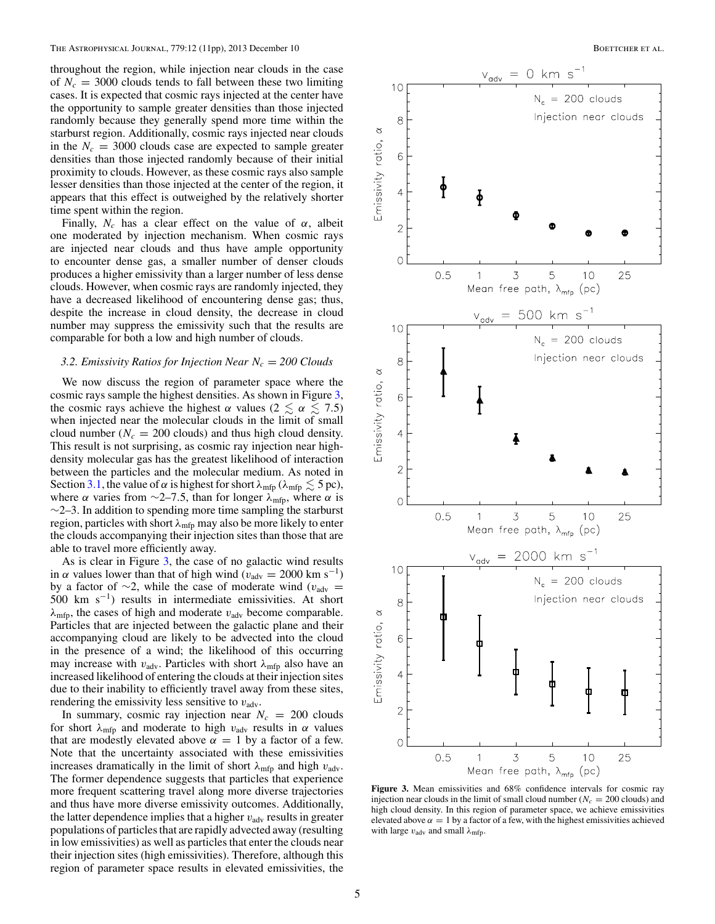<span id="page-4-0"></span>throughout the region, while injection near clouds in the case of  $N_c = 3000$  clouds tends to fall between these two limiting cases. It is expected that cosmic rays injected at the center have the opportunity to sample greater densities than those injected randomly because they generally spend more time within the starburst region. Additionally, cosmic rays injected near clouds in the  $N_c = 3000$  clouds case are expected to sample greater densities than those injected randomly because of their initial proximity to clouds. However, as these cosmic rays also sample lesser densities than those injected at the center of the region, it appears that this effect is outweighed by the relatively shorter time spent within the region.

Finally,  $N_c$  has a clear effect on the value of  $\alpha$ , albeit one moderated by injection mechanism. When cosmic rays are injected near clouds and thus have ample opportunity to encounter dense gas, a smaller number of denser clouds produces a higher emissivity than a larger number of less dense clouds. However, when cosmic rays are randomly injected, they have a decreased likelihood of encountering dense gas; thus, despite the increase in cloud density, the decrease in cloud number may suppress the emissivity such that the results are comparable for both a low and high number of clouds.

#### *3.2. Emissivity Ratios for Injection Near*  $N_c = 200$  Clouds

We now discuss the region of parameter space where the cosmic rays sample the highest densities. As shown in Figure 3, the cosmic rays achieve the highest  $\alpha$  values (2  $\leq \alpha \leq 7.5$ ) when injected near the molecular clouds in the limit of small cloud number ( $N_c = 200$  clouds) and thus high cloud density. This result is not surprising, as cosmic ray injection near highdensity molecular gas has the greatest likelihood of interaction between the particles and the molecular medium. As noted in Section [3.1,](#page-3-0) the value of  $\alpha$  is highest for short  $\lambda_{\text{mfp}}$  ( $\lambda_{\text{mfp}} \lesssim 5 \text{ pc}$ ), where  $\alpha$  varies from ∼2–7.5, than for longer  $\lambda_{\text{mfp}}$ , where  $\alpha$  is  $\sim$ 2–3. In addition to spending more time sampling the starburst region, particles with short  $\lambda_{\text{mfp}}$  may also be more likely to enter the clouds accompanying their injection sites than those that are able to travel more efficiently away.

As is clear in Figure 3, the case of no galactic wind results in  $\alpha$  values lower than that of high wind ( $v_{\text{adv}} = 2000 \text{ km s}^{-1}$ ) by a factor of ∼2, while the case of moderate wind ( $v_{\text{adv}} =$ 500 km s<sup> $-1$ </sup>) results in intermediate emissivities. At short  $\lambda_{\text{mfp}}$ , the cases of high and moderate  $v_{\text{adv}}$  become comparable. Particles that are injected between the galactic plane and their accompanying cloud are likely to be advected into the cloud in the presence of a wind; the likelihood of this occurring may increase with  $v_{\text{adv}}$ . Particles with short  $\lambda_{\text{mfp}}$  also have an increased likelihood of entering the clouds at their injection sites due to their inability to efficiently travel away from these sites, rendering the emissivity less sensitive to  $v_{\text{adv}}$ .

In summary, cosmic ray injection near  $N_c = 200$  clouds for short  $\lambda_{\text{mfp}}$  and moderate to high  $v_{\text{adv}}$  results in  $\alpha$  values that are modestly elevated above  $\alpha = 1$  by a factor of a few. Note that the uncertainty associated with these emissivities increases dramatically in the limit of short  $\lambda_{\text{mfp}}$  and high  $v_{\text{adv}}$ . The former dependence suggests that particles that experience more frequent scattering travel along more diverse trajectories and thus have more diverse emissivity outcomes. Additionally, the latter dependence implies that a higher  $v_{\text{adv}}$  results in greater populations of particles that are rapidly advected away (resulting in low emissivities) as well as particles that enter the clouds near their injection sites (high emissivities). Therefore, although this region of parameter space results in elevated emissivities, the



**Figure 3.** Mean emissivities and 68% confidence intervals for cosmic ray injection near clouds in the limit of small cloud number ( $N_c = 200$  clouds) and high cloud density. In this region of parameter space, we achieve emissivities elevated above  $\alpha = 1$  by a factor of a few, with the highest emissivities achieved with large  $v_{\text{adv}}$  and small  $\lambda_{\text{mfp}}$ .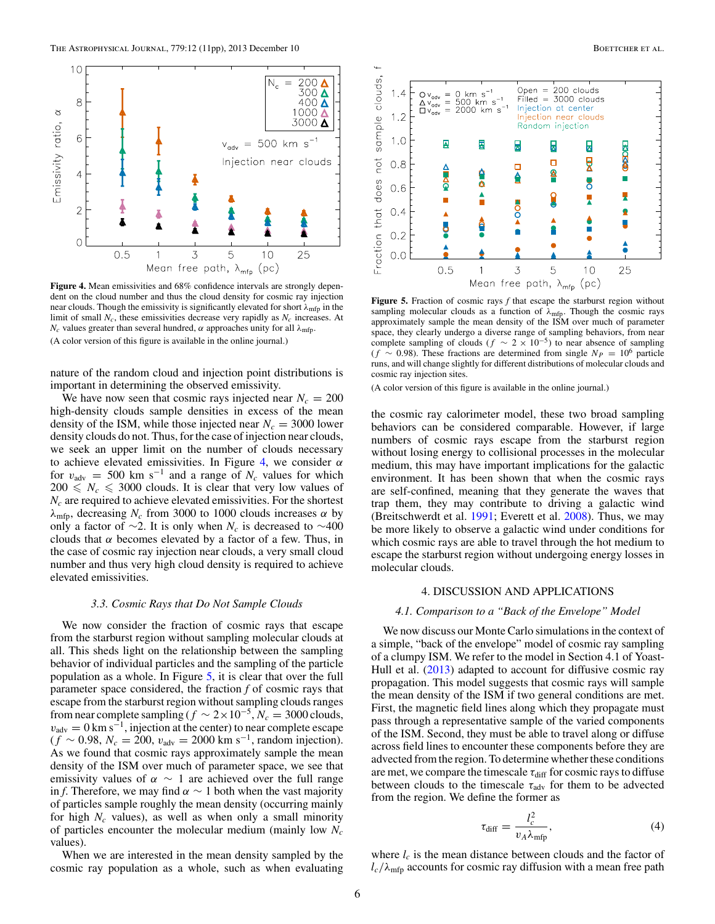<span id="page-5-0"></span>

**Figure 4.** Mean emissivities and 68% confidence intervals are strongly dependent on the cloud number and thus the cloud density for cosmic ray injection near clouds. Though the emissivity is significantly elevated for short  $\lambda_{\text{mfp}}$  in the limit of small  $N_c$ , these emissivities decrease very rapidly as  $N_c$  increases. At  $N_c$  values greater than several hundred,  $\alpha$  approaches unity for all  $\lambda_{\text{mfp}}$ . (A color version of this figure is available in the online journal.)

nature of the random cloud and injection point distributions is important in determining the observed emissivity.

We have now seen that cosmic rays injected near  $N_c = 200$ high-density clouds sample densities in excess of the mean density of the ISM, while those injected near  $N_c = 3000$  lower density clouds do not. Thus, for the case of injection near clouds, we seek an upper limit on the number of clouds necessary to achieve elevated emissivities. In Figure 4, we consider  $\alpha$ for  $v_{\text{adv}} = 500 \text{ km s}^{-1}$  and a range of  $N_c$  values for which  $200 \leq N_c \leq 3000$  clouds. It is clear that very low values of  $N_c$  are required to achieve elevated emissivities. For the shortest  $\lambda_{\text{mfp}}$ , decreasing  $N_c$  from 3000 to 1000 clouds increases  $\alpha$  by only a factor of ∼2. It is only when  $N_c$  is decreased to ∼400 clouds that  $\alpha$  becomes elevated by a factor of a few. Thus, in the case of cosmic ray injection near clouds, a very small cloud number and thus very high cloud density is required to achieve elevated emissivities.

# *3.3. Cosmic Rays that Do Not Sample Clouds*

We now consider the fraction of cosmic rays that escape from the starburst region without sampling molecular clouds at all. This sheds light on the relationship between the sampling behavior of individual particles and the sampling of the particle population as a whole. In Figure 5, it is clear that over the full parameter space considered, the fraction *f* of cosmic rays that escape from the starburst region without sampling clouds ranges from near complete sampling ( $f \sim 2 \times 10^{-5}$ ,  $N_c = 3000$  clouds,  $v_{\text{adv}} = 0 \text{ km s}^{-1}$ , injection at the center) to near complete escape  $(f \sim 0.98, N_c = 200, v_{\text{adv}} = 2000 \text{ km s}^{-1}$ , random injection). As we found that cosmic rays approximately sample the mean density of the ISM over much of parameter space, we see that emissivity values of  $\alpha \sim 1$  are achieved over the full range in *f*. Therefore, we may find  $\alpha \sim 1$  both when the vast majority of particles sample roughly the mean density (occurring mainly for high  $N_c$  values), as well as when only a small minority of particles encounter the molecular medium (mainly low *Nc* values).

When we are interested in the mean density sampled by the cosmic ray population as a whole, such as when evaluating



**Figure 5.** Fraction of cosmic rays *f* that escape the starburst region without sampling molecular clouds as a function of  $\lambda_{\text{mfp}}$ . Though the cosmic rays approximately sample the mean density of the ISM over much of parameter space, they clearly undergo a diverse range of sampling behaviors, from near complete sampling of clouds ( $f \sim 2 \times 10^{-5}$ ) to near absence of sampling  $(f \sim 0.98)$ . These fractions are determined from single  $N_P = 10^6$  particle runs, and will change slightly for different distributions of molecular clouds and cosmic ray injection sites.

(A color version of this figure is available in the online journal.)

the cosmic ray calorimeter model, these two broad sampling behaviors can be considered comparable. However, if large numbers of cosmic rays escape from the starburst region without losing energy to collisional processes in the molecular medium, this may have important implications for the galactic environment. It has been shown that when the cosmic rays are self-confined, meaning that they generate the waves that trap them, they may contribute to driving a galactic wind (Breitschwerdt et al.  $1991$ ; Everett et al.  $2008$ ). Thus, we may be more likely to observe a galactic wind under conditions for which cosmic rays are able to travel through the hot medium to escape the starburst region without undergoing energy losses in molecular clouds.

# 4. DISCUSSION AND APPLICATIONS

# *4.1. Comparison to a "Back of the Envelope" Model*

We now discuss our Monte Carlo simulations in the context of a simple, "back of the envelope" model of cosmic ray sampling of a clumpy ISM. We refer to the model in Section 4.1 of Yoast-Hull et al. [\(2013\)](#page-10-0) adapted to account for diffusive cosmic ray propagation. This model suggests that cosmic rays will sample the mean density of the ISM if two general conditions are met. First, the magnetic field lines along which they propagate must pass through a representative sample of the varied components of the ISM. Second, they must be able to travel along or diffuse across field lines to encounter these components before they are advected from the region. To determine whether these conditions are met, we compare the timescale  $\tau_{\text{diff}}$  for cosmic rays to diffuse between clouds to the timescale  $\tau_{\text{adv}}$  for them to be advected from the region. We define the former as

$$
\tau_{\text{diff}} = \frac{l_c^2}{v_A \lambda_{\text{mfp}}},\tag{4}
$$

where  $l_c$  is the mean distance between clouds and the factor of  $l_c/\lambda_{\rm mfp}$  accounts for cosmic ray diffusion with a mean free path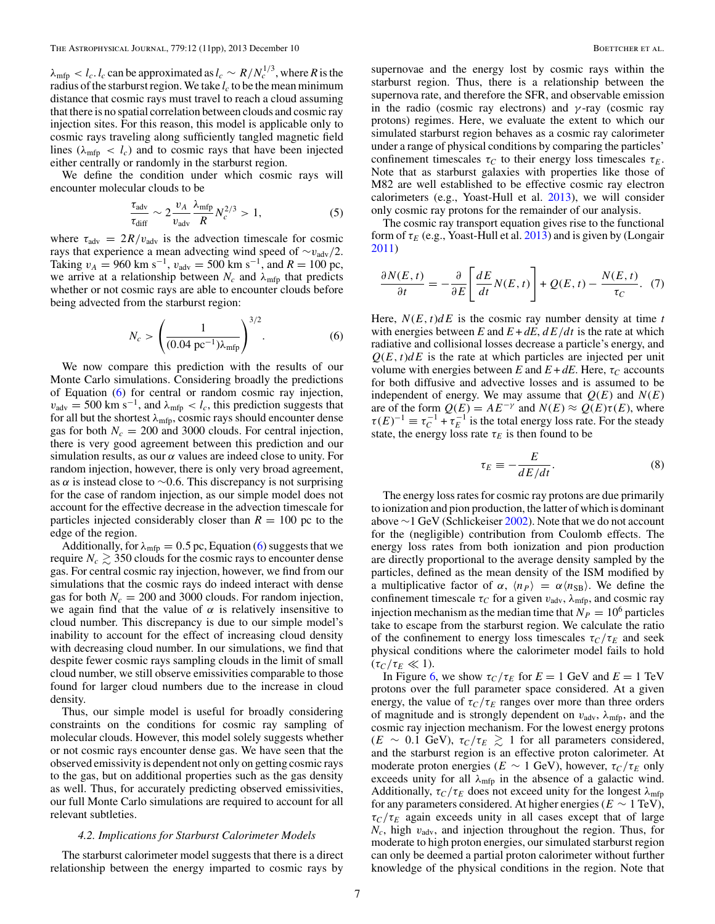<span id="page-6-0"></span> $\lambda_{\rm mfp} < l_c$ . *l<sub>c</sub>* can be approximated as  $l_c \sim R/N_c^{1/3}$ , where *R* is the radius of the starburst region. We take  $l_c$  to be the mean minimum distance that cosmic rays must travel to reach a cloud assuming that there is no spatial correlation between clouds and cosmic ray injection sites. For this reason, this model is applicable only to cosmic rays traveling along sufficiently tangled magnetic field lines ( $\lambda_{\text{mfp}} < l_c$ ) and to cosmic rays that have been injected either centrally or randomly in the starburst region.

We define the condition under which cosmic rays will encounter molecular clouds to be

$$
\frac{\tau_{\text{adv}}}{\tau_{\text{diff}}} \sim 2 \frac{v_A}{v_{\text{adv}}} \frac{\lambda_{\text{mfp}}}{R} N_c^{2/3} > 1,\tag{5}
$$

where  $\tau_{\text{adv}} = 2R/v_{\text{adv}}$  is the advection timescale for cosmic rays that experience a mean advecting wind speed of  $\sim v_{\text{adv}}/2$ . Taking  $v_A = 960 \text{ km s}^{-1}$ ,  $v_{\text{adv}} = 500 \text{ km s}^{-1}$ , and  $R = 100 \text{ pc}$ , we arrive at a relationship between  $N_c$  and  $\lambda_{\text{mfp}}$  that predicts whether or not cosmic rays are able to encounter clouds before being advected from the starburst region:

$$
N_c > \left(\frac{1}{(0.04 \text{ pc}^{-1})\lambda_{\text{mfp}}}\right)^{3/2}.
$$
 (6)

We now compare this prediction with the results of our Monte Carlo simulations. Considering broadly the predictions of Equation (6) for central or random cosmic ray injection,  $v_{\text{adv}} = 500 \text{ km s}^{-1}$ , and  $\lambda_{\text{mfp}} < l_c$ , this prediction suggests that for all but the shortest  $\lambda_{\text{mfp}}$ , cosmic rays should encounter dense gas for both  $N_c = 200$  and 3000 clouds. For central injection, there is very good agreement between this prediction and our simulation results, as our  $\alpha$  values are indeed close to unity. For random injection, however, there is only very broad agreement, as  $\alpha$  is instead close to ~0.6. This discrepancy is not surprising for the case of random injection, as our simple model does not account for the effective decrease in the advection timescale for particles injected considerably closer than  $R = 100$  pc to the edge of the region.

Additionally, for  $\lambda_{\text{mfp}} = 0.5$  pc, Equation (6) suggests that we require  $N_c \gtrsim 350$  clouds for the cosmic rays to encounter dense gas. For central cosmic ray injection, however, we find from our simulations that the cosmic rays do indeed interact with dense gas for both  $N_c = 200$  and 3000 clouds. For random injection, we again find that the value of  $\alpha$  is relatively insensitive to cloud number. This discrepancy is due to our simple model's inability to account for the effect of increasing cloud density with decreasing cloud number. In our simulations, we find that despite fewer cosmic rays sampling clouds in the limit of small cloud number, we still observe emissivities comparable to those found for larger cloud numbers due to the increase in cloud density.

Thus, our simple model is useful for broadly considering constraints on the conditions for cosmic ray sampling of molecular clouds. However, this model solely suggests whether or not cosmic rays encounter dense gas. We have seen that the observed emissivity is dependent not only on getting cosmic rays to the gas, but on additional properties such as the gas density as well. Thus, for accurately predicting observed emissivities, our full Monte Carlo simulations are required to account for all relevant subtleties.

#### *4.2. Implications for Starburst Calorimeter Models*

The starburst calorimeter model suggests that there is a direct relationship between the energy imparted to cosmic rays by

supernovae and the energy lost by cosmic rays within the starburst region. Thus, there is a relationship between the supernova rate, and therefore the SFR, and observable emission in the radio (cosmic ray electrons) and  $\gamma$ -ray (cosmic ray protons) regimes. Here, we evaluate the extent to which our simulated starburst region behaves as a cosmic ray calorimeter under a range of physical conditions by comparing the particles' confinement timescales  $\tau_C$  to their energy loss timescales  $\tau_E$ . Note that as starburst galaxies with properties like those of M82 are well established to be effective cosmic ray electron calorimeters (e.g., Yoast-Hull et al. [2013\)](#page-10-0), we will consider only cosmic ray protons for the remainder of our analysis.

The cosmic ray transport equation gives rise to the functional form of  $\tau_E$  (e.g., Yoast-Hull et al. [2013\)](#page-10-0) and is given by (Longair [2011\)](#page-10-0)

$$
\frac{\partial N(E,t)}{\partial t} = -\frac{\partial}{\partial E} \left[ \frac{dE}{dt} N(E,t) \right] + Q(E,t) - \frac{N(E,t)}{\tau_C}.
$$
 (7)

Here,  $N(E, t)dE$  is the cosmic ray number density at time *t* with energies between *E* and  $E + dE$ ,  $dE/dt$  is the rate at which radiative and collisional losses decrease a particle's energy, and  $Q(E, t) dE$  is the rate at which particles are injected per unit volume with energies between *E* and  $E + dE$ . Here,  $\tau_C$  accounts for both diffusive and advective losses and is assumed to be independent of energy. We may assume that  $Q(E)$  and  $N(E)$ are of the form  $Q(E) = AE^{-\gamma}$  and  $N(E) \approx Q(E)\tau(E)$ , where  $\tau(E)^{-1} \equiv \tau_C^{-1} + \tau_E^{-1}$  is the total energy loss rate. For the steady state, the energy loss rate  $\tau_E$  is then found to be

$$
\tau_E \equiv -\frac{E}{dE/dt}.\tag{8}
$$

The energy loss rates for cosmic ray protons are due primarily to ionization and pion production, the latter of which is dominant above  $\sim$ 1 GeV (Schlickeiser [2002\)](#page-10-0). Note that we do not account for the (negligible) contribution from Coulomb effects. The energy loss rates from both ionization and pion production are directly proportional to the average density sampled by the particles, defined as the mean density of the ISM modified by a multiplicative factor of  $\alpha$ ,  $\langle n_P \rangle = \alpha \langle n_{SB} \rangle$ . We define the confinement timescale  $\tau_C$  for a given  $v_{\text{adv}}$ ,  $\lambda_{\text{mfp}}$ , and cosmic ray injection mechanism as the median time that  $N_P = 10^6$  particles take to escape from the starburst region. We calculate the ratio of the confinement to energy loss timescales  $\tau_C/\tau_E$  and seek physical conditions where the calorimeter model fails to hold  $(\tau_C/\tau_E \ll 1).$ 

In Figure [6,](#page-7-0) we show  $\tau_C/\tau_E$  for  $E = 1$  GeV and  $E = 1$  TeV protons over the full parameter space considered. At a given energy, the value of  $\tau_C/\tau_E$  ranges over more than three orders of magnitude and is strongly dependent on  $v_{\text{adv}}$ ,  $\lambda_{\text{mfp}}$ , and the cosmic ray injection mechanism. For the lowest energy protons  $(E \sim 0.1 \text{ GeV})$ ,  $\tau_C/\tau_E \gtrsim 1$  for all parameters considered, and the starburst region is an effective proton calorimeter. At moderate proton energies ( $E \sim 1$  GeV), however,  $\tau_C/\tau_E$  only exceeds unity for all  $\lambda_{\text{mfp}}$  in the absence of a galactic wind. Additionally,  $\tau_C/\tau_E$  does not exceed unity for the longest  $\lambda_{\text{mfp}}$ for any parameters considered. At higher energies ( $E \sim 1 \text{ TeV}$ ),  $\tau_C/\tau_E$  again exceeds unity in all cases except that of large  $N_c$ , high  $v_{\text{adv}}$ , and injection throughout the region. Thus, for moderate to high proton energies, our simulated starburst region can only be deemed a partial proton calorimeter without further knowledge of the physical conditions in the region. Note that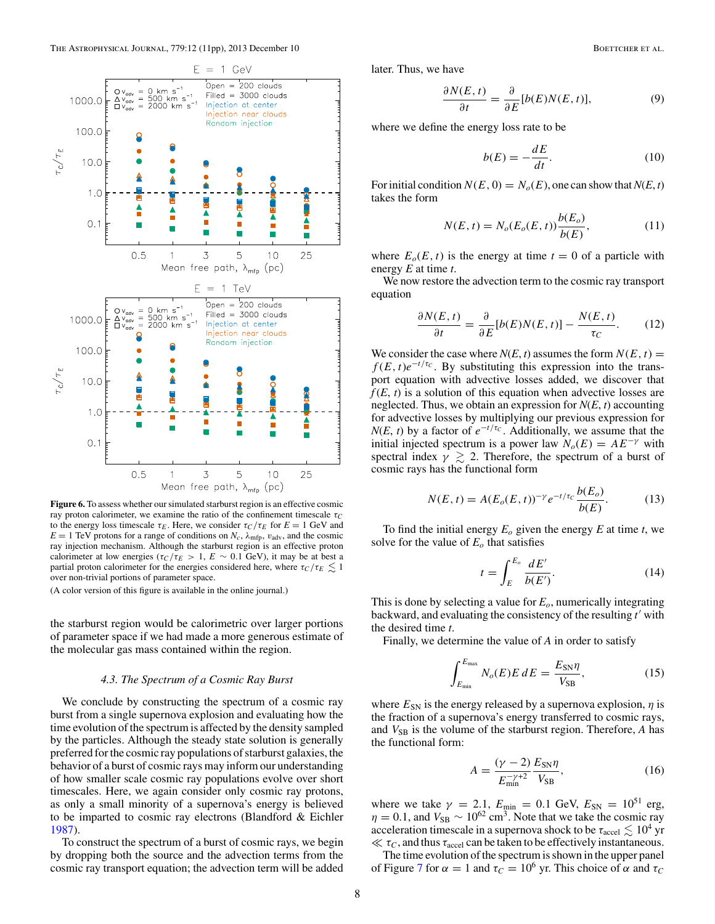<span id="page-7-0"></span>

**Figure 6.** To assess whether our simulated starburst region is an effective cosmic ray proton calorimeter, we examine the ratio of the confinement timescale  $\tau_C$ to the energy loss timescale  $\tau_E$ . Here, we consider  $\tau_C/\tau_E$  for  $E = 1$  GeV and  $E = 1$  TeV protons for a range of conditions on  $N_c$ ,  $\lambda_{\text{mfp}}$ ,  $v_{\text{adv}}$ , and the cosmic ray injection mechanism. Although the starburst region is an effective proton calorimeter at low energies ( $\tau_C/\tau_E > 1$ ,  $E \sim 0.1$  GeV), it may be at best a partial proton calorimeter for the energies considered here, where  $\tau_C/\tau_E \leq 1$ over non-trivial portions of parameter space.

(A color version of this figure is available in the online journal.)

the starburst region would be calorimetric over larger portions of parameter space if we had made a more generous estimate of the molecular gas mass contained within the region.

# *4.3. The Spectrum of a Cosmic Ray Burst*

We conclude by constructing the spectrum of a cosmic ray burst from a single supernova explosion and evaluating how the time evolution of the spectrum is affected by the density sampled by the particles. Although the steady state solution is generally preferred for the cosmic ray populations of starburst galaxies, the behavior of a burst of cosmic rays may inform our understanding of how smaller scale cosmic ray populations evolve over short timescales. Here, we again consider only cosmic ray protons, as only a small minority of a supernova's energy is believed to be imparted to cosmic ray electrons (Blandford & Eichler [1987\)](#page-10-0).

To construct the spectrum of a burst of cosmic rays, we begin by dropping both the source and the advection terms from the cosmic ray transport equation; the advection term will be added

later. Thus, we have

$$
\frac{\partial N(E,t)}{\partial t} = \frac{\partial}{\partial E} [b(E)N(E,t)],\tag{9}
$$

where we define the energy loss rate to be

$$
b(E) = -\frac{dE}{dt}.\tag{10}
$$

For initial condition  $N(E, 0) = N_o(E)$ , one can show that  $N(E, t)$ takes the form

$$
N(E, t) = N_o(E_o(E, t)) \frac{b(E_o)}{b(E)},
$$
\n(11)

where  $E_o(E, t)$  is the energy at time  $t = 0$  of a particle with energy *E* at time *t*.

We now restore the advection term to the cosmic ray transport equation

$$
\frac{\partial N(E,t)}{\partial t} = \frac{\partial}{\partial E} [b(E)N(E,t)] - \frac{N(E,t)}{\tau_C}.
$$
 (12)

We consider the case where  $N(E, t)$  assumes the form  $N(E, t)$  =  $f(E, t)e^{-t/\tau_C}$ . By substituting this expression into the transport equation with advective losses added, we discover that  $f(E, t)$  is a solution of this equation when advective losses are neglected. Thus, we obtain an expression for *N*(*E*, *t*) accounting for advective losses by multiplying our previous expression for *N*(*E*, *t*) by a factor of  $e^{-t/\tau_c}$ . Additionally, we assume that the initial injected spectrum is a power law  $N_o(E) = AE^{-\gamma}$  with spectral index  $\gamma \geq 2$ . Therefore, the spectrum of a burst of cosmic rays has the functional form

$$
N(E, t) = A(E_o(E, t))^{-\gamma} e^{-t/\tau_c} \frac{b(E_o)}{b(E)}.
$$
 (13)

To find the initial energy  $E_0$  given the energy  $E$  at time  $t$ , we solve for the value of  $E<sub>o</sub>$  that satisfies

$$
t = \int_{E}^{E_o} \frac{dE'}{b(E')}.
$$
 (14)

This is done by selecting a value for *Eo*, numerically integrating backward, and evaluating the consistency of the resulting  $t'$  with the desired time *t*.

Finally, we determine the value of *A* in order to satisfy

$$
\int_{E_{\text{min}}}^{E_{\text{max}}} N_o(E) E dE = \frac{E_{\text{SN}} \eta}{V_{\text{SB}}},\tag{15}
$$

where  $E_{SN}$  is the energy released by a supernova explosion,  $\eta$  is the fraction of a supernova's energy transferred to cosmic rays, and  $V_{SB}$  is the volume of the starburst region. Therefore, *A* has the functional form:

$$
A = \frac{(\gamma - 2)}{E_{\text{min}}^{-\gamma + 2}} \frac{E_{\text{SN}} \eta}{V_{\text{SB}}},
$$
(16)

where we take  $\gamma = 2.1$ ,  $E_{\text{min}} = 0.1$  GeV,  $E_{\text{SN}} = 10^{51}$  erg,  $\eta = 0.1$ , and  $V_{SB} \sim 10^{62}$  cm<sup>3</sup>. Note that we take the cosmic ray acceleration timescale in a supernova shock to be  $\tau_{\rm accel} \lesssim 10^4$  yr  $\ll \tau_C$ , and thus  $\tau_{\text{accel}}$  can be taken to be effectively instantaneous.

The time evolution of the spectrum is shown in the upper panel of Figure [7](#page-8-0) for  $\alpha = 1$  and  $\tau_C = 10^6$  yr. This choice of  $\alpha$  and  $\tau_C$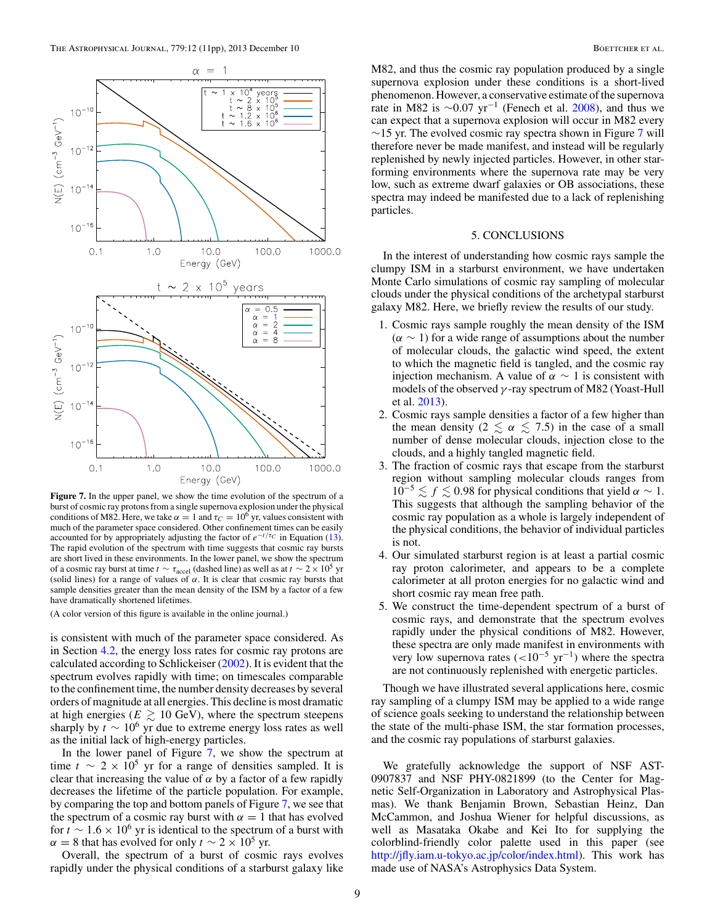<span id="page-8-0"></span>

Figure 7. In the upper panel, we show the time evolution of the spectrum of a burst of cosmic ray protons from a single supernova explosion under the physical conditions of M82. Here, we take  $\alpha = 1$  and  $\tau_C = 10^6$  yr, values consistent with much of the parameter space considered. Other confinement times can be easily accounted for by appropriately adjusting the factor of  $e^{-t/\tau_C}$  in Equation [\(13\)](#page-7-0). The rapid evolution of the spectrum with time suggests that cosmic ray bursts are short lived in these environments. In the lower panel, we show the spectrum of a cosmic ray burst at time  $t \sim \tau_{\text{accel}}$  (dashed line) as well as at  $t \sim 2 \times 10^5$  yr (solid lines) for a range of values of  $\alpha$ . It is clear that cosmic ray bursts that sample densities greater than the mean density of the ISM by a factor of a few have dramatically shortened lifetimes.

(A color version of this figure is available in the online journal.)

is consistent with much of the parameter space considered. As in Section [4.2,](#page-6-0) the energy loss rates for cosmic ray protons are calculated according to Schlickeiser [\(2002\)](#page-10-0). It is evident that the spectrum evolves rapidly with time; on timescales comparable to the confinement time, the number density decreases by several orders of magnitude at all energies. This decline is most dramatic at high energies ( $E \gtrsim 10 \text{ GeV}$ ), where the spectrum steepens sharply by  $t \sim 10^6$  yr due to extreme energy loss rates as well as the initial lack of high-energy particles.

In the lower panel of Figure 7, we show the spectrum at time  $t \sim 2 \times 10^5$  yr for a range of densities sampled. It is clear that increasing the value of  $\alpha$  by a factor of a few rapidly decreases the lifetime of the particle population. For example, by comparing the top and bottom panels of Figure 7, we see that the spectrum of a cosmic ray burst with  $\alpha = 1$  that has evolved for  $t \sim 1.6 \times 10^6$  yr is identical to the spectrum of a burst with  $\alpha = 8$  that has evolved for only  $t \sim 2 \times 10^5$  yr.

Overall, the spectrum of a burst of cosmic rays evolves rapidly under the physical conditions of a starburst galaxy like

M82, and thus the cosmic ray population produced by a single supernova explosion under these conditions is a short-lived phenomenon. However, a conservative estimate of the supernova rate in M82 is  $\sim$ 0.07 yr<sup>-1</sup> (Fenech et al. [2008\)](#page-10-0), and thus we can expect that a supernova explosion will occur in M82 every  $\sim$ 15 yr. The evolved cosmic ray spectra shown in Figure 7 will therefore never be made manifest, and instead will be regularly replenished by newly injected particles. However, in other starforming environments where the supernova rate may be very low, such as extreme dwarf galaxies or OB associations, these spectra may indeed be manifested due to a lack of replenishing particles.

### 5. CONCLUSIONS

In the interest of understanding how cosmic rays sample the clumpy ISM in a starburst environment, we have undertaken Monte Carlo simulations of cosmic ray sampling of molecular clouds under the physical conditions of the archetypal starburst galaxy M82. Here, we briefly review the results of our study.

- 1. Cosmic rays sample roughly the mean density of the ISM  $(\alpha \sim 1)$  for a wide range of assumptions about the number of molecular clouds, the galactic wind speed, the extent to which the magnetic field is tangled, and the cosmic ray injection mechanism. A value of  $\alpha \sim 1$  is consistent with models of the observed  $\gamma$ -ray spectrum of M82 (Yoast-Hull et al. [2013\)](#page-10-0).
- 2. Cosmic rays sample densities a factor of a few higher than the mean density ( $2 \le \alpha \le 7.5$ ) in the case of a small number of dense molecular clouds, injection close to the clouds, and a highly tangled magnetic field.
- 3. The fraction of cosmic rays that escape from the starburst region without sampling molecular clouds ranges from  $10^{-5} \lesssim f \lesssim 0.98$  for physical conditions that yield  $\alpha \sim 1$ . This suggests that although the sampling behavior of the cosmic ray population as a whole is largely independent of the physical conditions, the behavior of individual particles is not.
- 4. Our simulated starburst region is at least a partial cosmic ray proton calorimeter, and appears to be a complete calorimeter at all proton energies for no galactic wind and short cosmic ray mean free path.
- 5. We construct the time-dependent spectrum of a burst of cosmic rays, and demonstrate that the spectrum evolves rapidly under the physical conditions of M82. However, these spectra are only made manifest in environments with very low supernova rates  $(<10^{-5} \text{ yr}^{-1})$  where the spectra are not continuously replenished with energetic particles.

Though we have illustrated several applications here, cosmic ray sampling of a clumpy ISM may be applied to a wide range of science goals seeking to understand the relationship between the state of the multi-phase ISM, the star formation processes, and the cosmic ray populations of starburst galaxies.

We gratefully acknowledge the support of NSF AST-0907837 and NSF PHY-0821899 (to the Center for Magnetic Self-Organization in Laboratory and Astrophysical Plasmas). We thank Benjamin Brown, Sebastian Heinz, Dan McCammon, and Joshua Wiener for helpful discussions, as well as Masataka Okabe and Kei Ito for supplying the colorblind-friendly color palette used in this paper (see [http://jfly.iam.u-tokyo.ac.jp/color/index.html\)](http://jfly.iam.u-tokyo.ac.jp/color/index.html). This work has made use of NASA's Astrophysics Data System.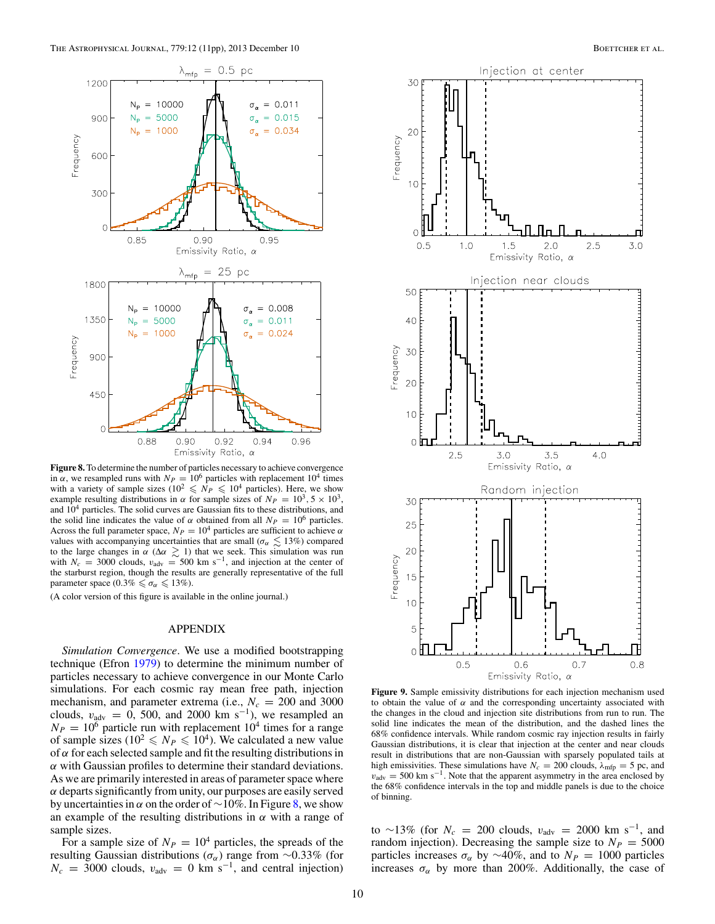<span id="page-9-0"></span>

**Figure 8.** To determine the number of particles necessary to achieve convergence in  $\alpha$ , we resampled runs with  $N_P = 10^6$  particles with replacement 10<sup>4</sup> times with a variety of sample sizes ( $10^2 \leq N_P \leq 10^4$  particles). Here, we show example resulting distributions in  $\alpha$  for sample sizes of  $N_P = 10^3$ ,  $5 \times 10^3$ , and  $10<sup>4</sup>$  particles. The solid curves are Gaussian fits to these distributions, and the solid line indicates the value of  $\alpha$  obtained from all  $N_P = 10^6$  particles. Across the full parameter space,  $N_P = 10^4$  particles are sufficient to achieve  $\alpha$ values with accompanying uncertainties that are small ( $\sigma_{\alpha} \leq 13\%$ ) compared to the large changes in α ( $\Delta \alpha \gtrsim 1$ ) that we seek. This simulation was run with  $N_c = 3000$  clouds,  $v_{\text{adv}} = 500$  km s<sup>-1</sup>, and injection at the center of the starburst region, though the results are generally representative of the full parameter space (0.3%  $\leq \sigma_{\alpha} \leq 13\%$ ).

(A color version of this figure is available in the online journal.)

# APPENDIX

*Simulation Convergence*. We use a modified bootstrapping technique (Efron [1979\)](#page-10-0) to determine the minimum number of particles necessary to achieve convergence in our Monte Carlo simulations. For each cosmic ray mean free path, injection mechanism, and parameter extrema (i.e.,  $N_c = 200$  and 3000 clouds,  $v_{\text{adv}} = 0$ , 500, and 2000 km s<sup>-1</sup>), we resampled an  $N_P = 10^6$  particle run with replacement  $10^4$  times for a range of sample sizes (10<sup>2</sup>  $\leq N_P \leq 10^4$ ). We calculated a new value of  $\alpha$  for each selected sample and fit the resulting distributions in  $\alpha$  with Gaussian profiles to determine their standard deviations. As we are primarily interested in areas of parameter space where  $\alpha$  departs significantly from unity, our purposes are easily served by uncertainties in  $\alpha$  on the order of ~10%. In Figure 8, we show an example of the resulting distributions in  $\alpha$  with a range of sample sizes.

For a sample size of  $N_P = 10^4$  particles, the spreads of the resulting Gaussian distributions ( $\sigma_{\alpha}$ ) range from ~0.33% (for  $N_c = 3000$  clouds,  $v_{\text{adv}} = 0$  km s<sup>-1</sup>, and central injection)



**Figure 9.** Sample emissivity distributions for each injection mechanism used to obtain the value of  $\alpha$  and the corresponding uncertainty associated with the changes in the cloud and injection site distributions from run to run. The solid line indicates the mean of the distribution, and the dashed lines the 68% confidence intervals. While random cosmic ray injection results in fairly Gaussian distributions, it is clear that injection at the center and near clouds result in distributions that are non-Gaussian with sparsely populated tails at high emissivities. These simulations have  $N_c = 200$  clouds,  $\lambda_{\text{mfp}} = 5$  pc, and  $v_{\text{adv}} = 500 \text{ km s}^{-1}$ . Note that the apparent asymmetry in the area enclosed by the 68% confidence intervals in the top and middle panels is due to the choice of binning.

to ~13% (for  $N_c = 200$  clouds,  $v_{\text{adv}} = 2000$  km s<sup>-1</sup>, and random injection). Decreasing the sample size to  $N_P = 5000$ particles increases  $\sigma_{\alpha}$  by ~40%, and to  $N_P = 1000$  particles increases  $\sigma_{\alpha}$  by more than 200%. Additionally, the case of